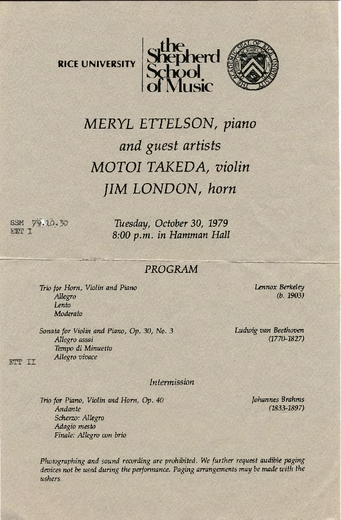**RICE UNIVERSITY** 





## *MERYL ETTELSON, piano and guest artists MOTOI TAKEDA, violin JIM LONDON, horn*

SSM  $\frac{79.10}{20}$  Tuesday, October 30, 1979<br>**EFJ** 1 *8:00p.m. in Hamman Hall* 

## PROGRAM

*Trio for Horn, Violin and Piano Allegro Lento Moderato* 

*Sonata for Violin and Piano,* Op. *30, No. 3 Allegro assai Tempo di Minuetto Allegro vivace* 

:ETT II

*Intermission* 

*Trio for Piano, Violin and Horn,* Op. *40 Andante Scherzo: Allegro Adagio mesiD Finale: Allegro con brio* 

Photographing and sound recording are prohibited. We further request audible paging devices not be used during the performance. Paging arrangements may be made with the *ushers.* 

*Lennox Berkeley*  (b. 1903)

*Ludwig van Beethoven*  (1770-1827)

> *Johannes Brahms*  (1833-1897)